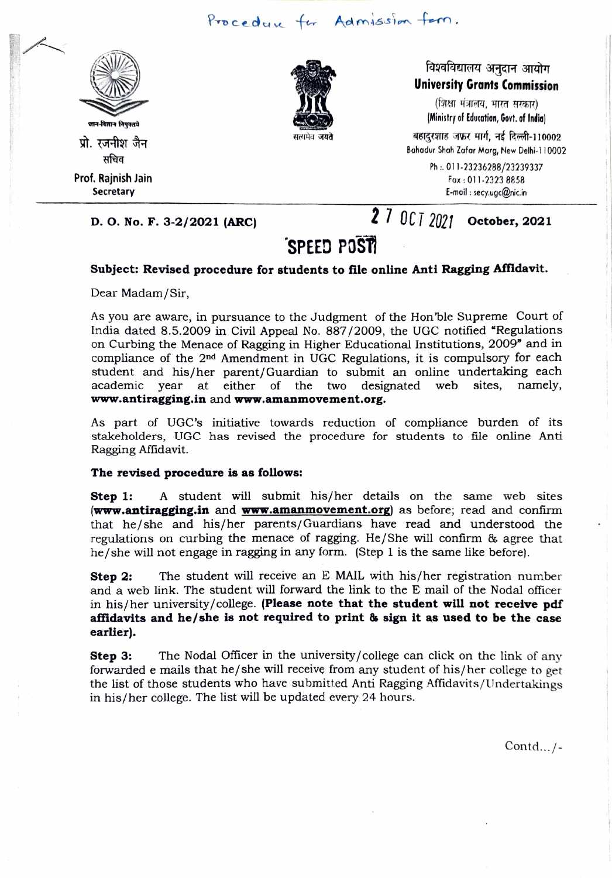



### विश्वविद्यालय अनुदान आयोग University Grants Commission

(शिक्षा मंत्रालय, भारत सरकार) (Ministry of Education, Govt. of India) teana and the state of the state of the state of the state of the state of the state of the state of the state<br>Bahadur Shah Zafar Marg, New Delhi-110002<br>सचिव Bahadur Shah Zafar Marg, New Delhi-110002

Ph:.011-23236288/23239337 Fax: 011-2323 8858 Secretary E-moil: secy.ugc@nic.in

# D. O. No. F. 3-2/2021 (ARC) 27 October, 2021

## SPEED POST

#### Subject: Revised procedure for students to file online Anti Ragging Affldavit.

Dear Madam/Sir,

As you are aware, in pursuance to the Judgment of the Hon ble Supreme Court of India dated 8.5.2009 in Civil Appeal No. 887/2009, the UGC notified "Regulations on Curbing the Menace of Ragging in Higher Educational Institutions, 2009" and in compliance of the 2nd Amendment in UGC Regulations, it is compulsory for each student and his/her parent/Guardian to submit an online undertaking each academic year at either of the two designated web sites, namely, www.antiragging.in and www.amanmovement.org.

As part of UGC's initiative towards reduction of compliance burden of its stakeholders, UGC has revised the procedure for students to file online Anti Ragging Affidavit.

#### The revised procedure is as follows:

Step 1: A student will submit his/her details on the same web sites **www.antiragging.in** and **www.amanmovement.org** as before; read and confirm that he/she and his/her parents/Guardians have read and understood the regulations on curbing the menace of ragging. He/She will confirm & agree that he/she will not engage in ragging in any form. (Step 1 is the same like before).

**Step 2:** The student will receive an E MAIL with his/her registration number and a web link. The student will forward the link to the E mail of the Nodal officer in his/her university/college. (Please note that the student will not recelve pdf affidavits and he/she is not required to print & sign it as used to be the case earlier).

Step 3: The Nodal Officer in the university/college can click on the link of any forwarded e mails that he/she will receive from any student of his/her college to get the list of those students who have submitted Anti Ragging Affidavits/Undertakings in his/her college. The list will be updated every 24 hours.

Contd.../-